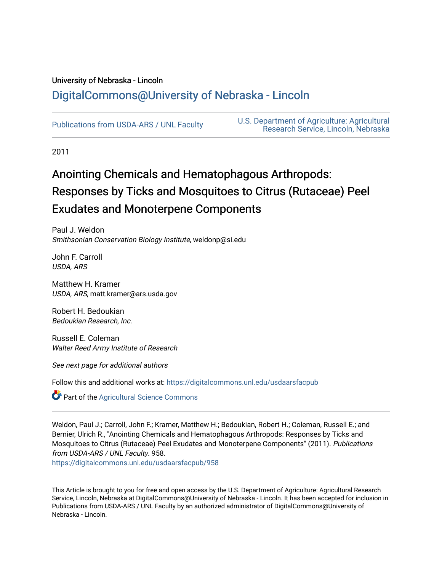## University of Nebraska - Lincoln [DigitalCommons@University of Nebraska - Lincoln](https://digitalcommons.unl.edu/)

[Publications from USDA-ARS / UNL Faculty](https://digitalcommons.unl.edu/usdaarsfacpub) [U.S. Department of Agriculture: Agricultural](https://digitalcommons.unl.edu/usdaars)  [Research Service, Lincoln, Nebraska](https://digitalcommons.unl.edu/usdaars) 

2011

# Anointing Chemicals and Hematophagous Arthropods: Responses by Ticks and Mosquitoes to Citrus (Rutaceae) Peel Exudates and Monoterpene Components

Paul J. Weldon Smithsonian Conservation Biology Institute, weldonp@si.edu

John F. Carroll USDA, ARS

Matthew H. Kramer USDA, ARS, matt.kramer@ars.usda.gov

Robert H. Bedoukian Bedoukian Research, Inc.

Russell E. Coleman Walter Reed Army Institute of Research

See next page for additional authors

Follow this and additional works at: [https://digitalcommons.unl.edu/usdaarsfacpub](https://digitalcommons.unl.edu/usdaarsfacpub?utm_source=digitalcommons.unl.edu%2Fusdaarsfacpub%2F958&utm_medium=PDF&utm_campaign=PDFCoverPages)

Part of the [Agricultural Science Commons](http://network.bepress.com/hgg/discipline/1063?utm_source=digitalcommons.unl.edu%2Fusdaarsfacpub%2F958&utm_medium=PDF&utm_campaign=PDFCoverPages)

Weldon, Paul J.; Carroll, John F.; Kramer, Matthew H.; Bedoukian, Robert H.; Coleman, Russell E.; and Bernier, Ulrich R., "Anointing Chemicals and Hematophagous Arthropods: Responses by Ticks and Mosquitoes to Citrus (Rutaceae) Peel Exudates and Monoterpene Components" (2011). Publications from USDA-ARS / UNL Faculty. 958.

[https://digitalcommons.unl.edu/usdaarsfacpub/958](https://digitalcommons.unl.edu/usdaarsfacpub/958?utm_source=digitalcommons.unl.edu%2Fusdaarsfacpub%2F958&utm_medium=PDF&utm_campaign=PDFCoverPages)

This Article is brought to you for free and open access by the U.S. Department of Agriculture: Agricultural Research Service, Lincoln, Nebraska at DigitalCommons@University of Nebraska - Lincoln. It has been accepted for inclusion in Publications from USDA-ARS / UNL Faculty by an authorized administrator of DigitalCommons@University of Nebraska - Lincoln.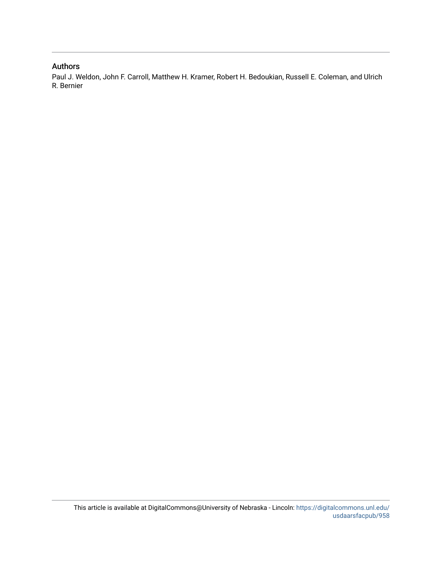### Authors

Paul J. Weldon, John F. Carroll, Matthew H. Kramer, Robert H. Bedoukian, Russell E. Coleman, and Ulrich R. Bernier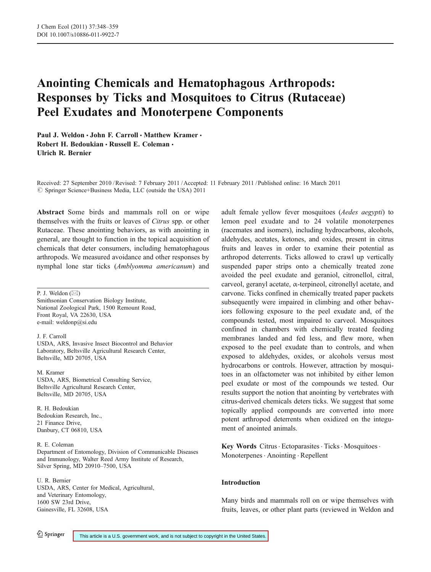## Anointing Chemicals and Hematophagous Arthropods: Responses by Ticks and Mosquitoes to Citrus (Rutaceae) Peel Exudates and Monoterpene Components

Paul J. Weldon . John F. Carroll . Matthew Kramer . Robert H. Bedoukian & Russell E. Coleman & Ulrich R. Bernier

Received: 27 September 2010 /Revised: 7 February 2011 /Accepted: 11 February 2011 / Published online: 16 March 2011  $\circled{c}$  Springer Science+Business Media, LLC (outside the USA) 2011

Abstract Some birds and mammals roll on or wipe themselves with the fruits or leaves of Citrus spp. or other Rutaceae. These anointing behaviors, as with anointing in general, are thought to function in the topical acquisition of chemicals that deter consumers, including hematophagous arthropods. We measured avoidance and other responses by nymphal lone star ticks (Amblyomma americanum) and

P. J. Weldon  $(\boxtimes)$ Smithsonian Conservation Biology Institute, National Zoological Park, 1500 Remount Road, Front Royal, VA 22630, USA e-mail: weldonp@si.edu

J. F. Carroll

USDA, ARS, Invasive Insect Biocontrol and Behavior Laboratory, Beltsville Agricultural Research Center, Beltsville, MD 20705, USA

M. Kramer USDA, ARS, Biometrical Consulting Service, Beltsville Agricultural Research Center, Beltsville, MD 20705, USA

R. H. Bedoukian Bedoukian Research, Inc., 21 Finance Drive, Danbury, CT 06810, USA

R. E. Coleman

Department of Entomology, Division of Communicable Diseases and Immunology, Walter Reed Army Institute of Research, Silver Spring, MD 20910–7500, USA

U. R. Bernier USDA, ARS, Center for Medical, Agricultural, and Veterinary Entomology, 1600 SW 23rd Drive, Gainesville, FL 32608, USA

adult female yellow fever mosquitoes (Aedes aegypti) to lemon peel exudate and to 24 volatile monoterpenes (racemates and isomers), including hydrocarbons, alcohols, aldehydes, acetates, ketones, and oxides, present in citrus fruits and leaves in order to examine their potential as arthropod deterrents. Ticks allowed to crawl up vertically suspended paper strips onto a chemically treated zone avoided the peel exudate and geraniol, citronellol, citral, carveol, geranyl acetate, α-terpineol, citronellyl acetate, and carvone. Ticks confined in chemically treated paper packets subsequently were impaired in climbing and other behaviors following exposure to the peel exudate and, of the compounds tested, most impaired to carveol. Mosquitoes confined in chambers with chemically treated feeding membranes landed and fed less, and flew more, when exposed to the peel exudate than to controls, and when exposed to aldehydes, oxides, or alcohols versus most hydrocarbons or controls. However, attraction by mosquitoes in an olfactometer was not inhibited by either lemon peel exudate or most of the compounds we tested. Our results support the notion that anointing by vertebrates with citrus-derived chemicals deters ticks. We suggest that some topically applied compounds are converted into more potent arthropod deterrents when oxidized on the integument of anointed animals.

Key Words Citrus · Ectoparasites · Ticks · Mosquitoes · Monoterpenes · Anointing · Repellent

#### Introduction

Many birds and mammals roll on or wipe themselves with fruits, leaves, or other plant parts (reviewed in Weldon and

 $\textcircled{2}$  Springer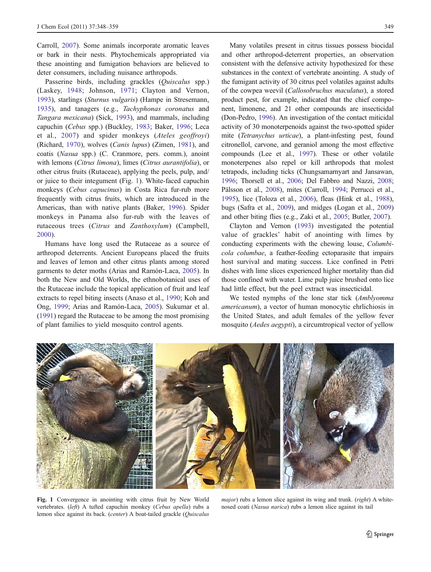<span id="page-3-0"></span>Carroll, [2007\)](#page-13-0). Some animals incorporate aromatic leaves or bark in their nests. Phytochemicals appropriated via these anointing and fumigation behaviors are believed to deter consumers, including nuisance arthropods.

Passerine birds, including grackles (*Quiscalus* spp.) (Laskey, [1948](#page-12-0); Johnson, [1971;](#page-12-0) Clayton and Vernon, [1993\)](#page-12-0), starlings (Sturnus vulgaris) (Hampe in Stresemann, [1935](#page-13-0)), and tanagers (e.g., Tachyphonas coronatus and Tangara mexicana) (Sick, [1993\)](#page-13-0), and mammals, including capuchin (Cebus spp.) (Buckley, [1983;](#page-11-0) Baker, [1996;](#page-11-0) Leca et al., [2007\)](#page-12-0) and spider monkeys (Ateles geoffroyi) (Richard, [1970\)](#page-12-0), wolves (Canis lupus) (Zimen, [1981\)](#page-13-0), and coatis (Nasua spp.) (C. Cranmore, pers. comm.), anoint with lemons (Citrus limona), limes (Citrus aurantifolia), or other citrus fruits (Rutaceae), applying the peels, pulp, and/ or juice to their integument (Fig. 1). White-faced capuchin monkeys (Cebus capucinus) in Costa Rica fur-rub more frequently with citrus fruits, which are introduced in the Americas, than with native plants (Baker, [1996\)](#page-11-0). Spider monkeys in Panama also fur-rub with the leaves of rutaceous trees (Citrus and Zanthoxylum) (Campbell, [2000\)](#page-12-0).

Humans have long used the Rutaceae as a source of arthropod deterrents. Ancient Europeans placed the fruits and leaves of lemon and other citrus plants among stored garments to deter moths (Arias and Ramón-Laca, [2005](#page-11-0)). In both the New and Old Worlds, the ethnobotanical uses of the Rutaceae include the topical application of fruit and leaf extracts to repel biting insects (Anaso et al., [1990](#page-11-0); Koh and Ong, [1999](#page-12-0); Arias and Ramón-Laca, [2005](#page-11-0)). Sukumar et al. [\(1991](#page-13-0)) regard the Rutaceae to be among the most promising of plant families to yield mosquito control agents.

Many volatiles present in citrus tissues possess biocidal and other arthropod-deterrent properties, an observation consistent with the defensive activity hypothesized for these substances in the context of vertebrate anointing. A study of the fumigant activity of 30 citrus peel volatiles against adults of the cowpea weevil (Callosobruchus maculatus), a stored product pest, for example, indicated that the chief component, limonene, and 21 other compounds are insecticidal (Don-Pedro, [1996\)](#page-12-0). An investigation of the contact miticidal activity of 30 monoterpenoids against the two-spotted spider mite (Tetranychus urticae), a plant-infesting pest, found citronellol, carvone, and geraniol among the most effective compounds (Lee et al., [1997\)](#page-12-0). These or other volatile monoterpenes also repel or kill arthropods that molest tetrapods, including ticks (Chungsamarnyart and Jansawan, [1996;](#page-12-0) Thorsell et al., [2006;](#page-13-0) Del Fabbro and Nazzi, [2008;](#page-12-0) Pälsson et al., [2008\)](#page-12-0), mites (Carroll, [1994](#page-12-0); Perrucci et al., [1995\)](#page-12-0), lice (Toloza et al., [2006](#page-13-0)), fleas (Hink et al., [1988\)](#page-12-0), bugs (Safra et al., [2009\)](#page-12-0), and midges (Logan et al., [2009](#page-12-0)) and other biting flies (e.g., Zaki et al., [2005;](#page-13-0) Butler, [2007\)](#page-11-0).

Clayton and Vernon ([1993](#page-12-0)) investigated the potential value of grackles' habit of anointing with limes by conducting experiments with the chewing louse, Columbicola columbae, a feather-feeding ectoparasite that impairs host survival and mating success. Lice confined in Petri dishes with lime slices experienced higher mortality than did those confined with water. Lime pulp juice brushed onto lice had little effect, but the peel extract was insecticidal.

We tested nymphs of the lone star tick (Amblyomma americanum), a vector of human monocytic ehrlichiosis in the United States, and adult females of the yellow fever mosquito (Aedes aegypti), a circumtropical vector of yellow



Fig. 1 Convergence in anointing with citrus fruit by New World vertebrates. (left) A tufted capuchin monkey (Cebus apella) rubs a lemon slice against its back. (center) A boat-tailed grackle (Quiscalus

major) rubs a lemon slice against its wing and trunk. (right) A whitenosed coati (Nasua narica) rubs a lemon slice against its tail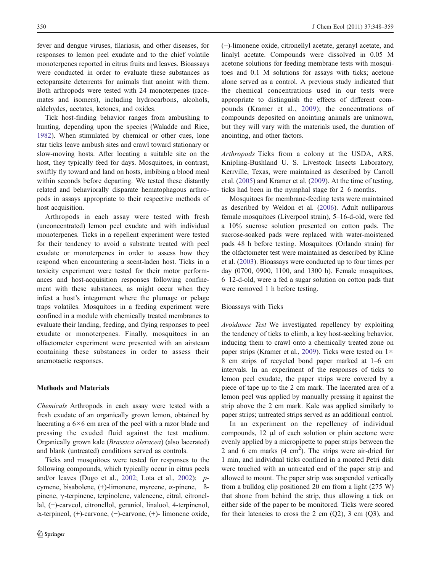fever and dengue viruses, filariasis, and other diseases, for responses to lemon peel exudate and to the chief volatile monoterpenes reported in citrus fruits and leaves. Bioassays were conducted in order to evaluate these substances as ectoparasite deterrents for animals that anoint with them. Both arthropods were tested with 24 monoterpenes (racemates and isomers), including hydrocarbons, alcohols, aldehydes, acetates, ketones, and oxides.

Tick host-finding behavior ranges from ambushing to hunting, depending upon the species (Waladde and Rice, [1982\)](#page-13-0). When stimulated by chemical or other cues, lone star ticks leave ambush sites and crawl toward stationary or slow-moving hosts. After locating a suitable site on the host, they typically feed for days. Mosquitoes, in contrast, swiftly fly toward and land on hosts, imbibing a blood meal within seconds before departing. We tested these distantly related and behaviorally disparate hematophagous arthropods in assays appropriate to their respective methods of host acquisition.

Arthropods in each assay were tested with fresh (unconcentrated) lemon peel exudate and with individual monoterpenes. Ticks in a repellent experiment were tested for their tendency to avoid a substrate treated with peel exudate or monoterpenes in order to assess how they respond when encountering a scent-laden host. Ticks in a toxicity experiment were tested for their motor performances and host-acquisition responses following confinement with these substances, as might occur when they infest a host's integument where the plumage or pelage traps volatiles. Mosquitoes in a feeding experiment were confined in a module with chemically treated membranes to evaluate their landing, feeding, and flying responses to peel exudate or monoterpenes. Finally, mosquitoes in an olfactometer experiment were presented with an airsteam containing these substances in order to assess their anemotactic responses.

#### Methods and Materials

Chemicals Arthropods in each assay were tested with a fresh exudate of an organically grown lemon, obtained by lacerating a  $6 \times 6$  cm area of the peel with a razor blade and pressing the exuded fluid against the test medium. Organically grown kale (Brassica oleracea) (also lacerated) and blank (untreated) conditions served as controls.

Ticks and mosquitoes were tested for responses to the following compounds, which typically occur in citrus peels and/or leaves (Dugo et al., [2002;](#page-12-0) Lota et al., [2002\)](#page-12-0):  $p$ cymene, bisabolene, (+)-limonene, myrcene, α-pinene, ßpinene, γ-terpinene, terpinolene, valencene, citral, citronellal, (−)-carveol, citronellol, geraniol, linalool, 4-terpinenol, α-terpineol, (+)-carvone, (−)-carvone, (+)- limonene oxide, (−)-limonene oxide, citronellyl acetate, geranyl acetate, and linalyl acetate. Compounds were dissolved in 0.05 M acetone solutions for feeding membrane tests with mosquitoes and 0.1 M solutions for assays with ticks; acetone alone served as a control. A previous study indicated that the chemical concentrations used in our tests were appropriate to distinguish the effects of different compounds (Kramer et al., [2009](#page-12-0)); the concentrations of compounds deposited on anointing animals are unknown, but they will vary with the materials used, the duration of anointing, and other factors.

Arthropods Ticks from a colony at the USDA, ARS, Knipling-Bushland U. S. Livestock Insects Laboratory, Kerrville, Texas, were maintained as described by Carroll et al. ([2005\)](#page-12-0) and Kramer et al. ([2009\)](#page-12-0). At the time of testing, ticks had been in the nymphal stage for 2–6 months.

Mosquitoes for membrane-feeding tests were maintained as described by Weldon et al. ([2006\)](#page-13-0). Adult nulliparous female mosquitoes (Liverpool strain), 5–16-d-old, were fed a 10% sucrose solution presented on cotton pads. The sucrose-soaked pads were replaced with water-moistened pads 48 h before testing. Mosquitoes (Orlando strain) for the olfactometer test were maintained as described by Kline et al. [\(2003\)](#page-12-0). Bioassays were conducted up to four times per day (0700, 0900, 1100, and 1300 h). Female mosquitoes, 6–12-d-old, were a fed a sugar solution on cotton pads that were removed 1 h before testing.

#### Bioassays with Ticks

Avoidance Test We investigated repellency by exploiting the tendency of ticks to climb, a key host-seeking behavior, inducing them to crawl onto a chemically treated zone on paper strips (Kramer et al., [2009](#page-12-0)). Ticks were tested on  $1 \times$ 8 cm strips of recycled bond paper marked at 1–6 cm intervals. In an experiment of the responses of ticks to lemon peel exudate, the paper strips were covered by a piece of tape up to the 2 cm mark. The lacerated area of a lemon peel was applied by manually pressing it against the strip above the 2 cm mark. Kale was applied similarly to paper strips; untreated strips served as an additional control.

In an experiment on the repellency of individual compounds, 12 μl of each solution or plain acetone were evenly applied by a micropipette to paper strips between the 2 and 6 cm marks  $(4 \text{ cm}^2)$ . The strips were air-dried for 1 min, and individual ticks confined in a moated Petri dish were touched with an untreated end of the paper strip and allowed to mount. The paper strip was suspended vertically from a bulldog clip positioned 20 cm from a light (275 W) that shone from behind the strip, thus allowing a tick on either side of the paper to be monitored. Ticks were scored for their latencies to cross the 2 cm  $(Q2)$ , 3 cm  $(Q3)$ , and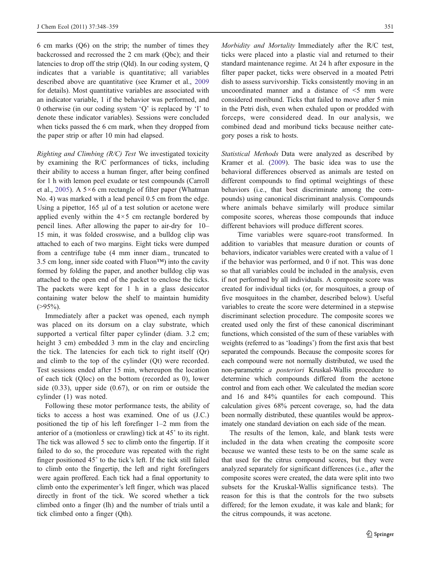6 cm marks (Q6) on the strip; the number of times they backcrossed and recrossed the 2 cm mark (Qbc); and their latencies to drop off the strip (Qld). In our coding system, Q indicates that a variable is quantitative; all variables described above are quantitative (see Kramer et al., [2009](#page-12-0) for details). Most quantitative variables are associated with an indicator variable, 1 if the behavior was performed, and 0 otherwise (in our coding system 'Q' is replaced by 'I' to denote these indicator variables). Sessions were concluded when ticks passed the 6 cm mark, when they dropped from the paper strip or after 10 min had elapsed.

Righting and Climbing (R/C) Test We investigated toxicity by examining the R/C performances of ticks, including their ability to access a human finger, after being confined for 1 h with lemon peel exudate or test compounds (Carroll et al., [2005](#page-12-0)). A 5×6 cm rectangle of filter paper (Whatman No. 4) was marked with a lead pencil 0.5 cm from the edge. Using a pipettor, 165 μl of a test solution or acetone were applied evenly within the  $4 \times 5$  cm rectangle bordered by pencil lines. After allowing the paper to air-dry for 10– 15 min, it was folded crosswise, and a bulldog clip was attached to each of two margins. Eight ticks were dumped from a centrifuge tube (4 mm inner diam., truncated to 3.5 cm long, inner side coated with Fluon™) into the cavity formed by folding the paper, and another bulldog clip was attached to the open end of the packet to enclose the ticks. The packets were kept for 1 h in a glass desiccator containing water below the shelf to maintain humidity  $(>95\%)$ .

Immediately after a packet was opened, each nymph was placed on its dorsum on a clay substrate, which supported a vertical filter paper cylinder (diam. 3.2 cm; height 3 cm) embedded 3 mm in the clay and encircling the tick. The latencies for each tick to right itself (Qr) and climb to the top of the cylinder (Qt) were recorded. Test sessions ended after 15 min, whereupon the location of each tick (Qloc) on the bottom (recorded as 0), lower side (0.33), upper side (0.67), or on rim or outside the cylinder (1) was noted.

Following these motor performance tests, the ability of ticks to access a host was examined. One of us (J.C.) positioned the tip of his left forefinger 1–2 mm from the anterior of a (motionless or crawling) tick at 45˚ to its right. The tick was allowed 5 sec to climb onto the fingertip. If it failed to do so, the procedure was repeated with the right finger positioned 45˚ to the tick's left. If the tick still failed to climb onto the fingertip, the left and right forefingers were again proffered. Each tick had a final opportunity to climb onto the experimenter's left finger, which was placed directly in front of the tick. We scored whether a tick climbed onto a finger (Ih) and the number of trials until a tick climbed onto a finger (Qth).

Morbidity and Mortality Immediately after the R/C test, ticks were placed into a plastic vial and returned to their standard maintenance regime. At 24 h after exposure in the filter paper packet, ticks were observed in a moated Petri dish to assess survivorship. Ticks consistently moving in an uncoordinated manner and a distance of <5 mm were considered moribund. Ticks that failed to move after 5 min in the Petri dish, even when exhaled upon or prodded with forceps, were considered dead. In our analysis, we combined dead and moribund ticks because neither category poses a risk to hosts.

Statistical Methods Data were analyzed as described by Kramer et al. ([2009\)](#page-12-0). The basic idea was to use the behavioral differences observed as animals are tested on different compounds to find optimal weightings of these behaviors (i.e., that best discriminate among the compounds) using canonical discriminant analysis. Compounds where animals behave similarly will produce similar composite scores, whereas those compounds that induce different behaviors will produce different scores.

Time variables were square-root transformed. In addition to variables that measure duration or counts of behaviors, indicator variables were created with a value of 1 if the behavior was performed, and 0 if not. This was done so that all variables could be included in the analysis, even if not performed by all individuals. A composite score was created for individual ticks (or, for mosquitoes, a group of five mosquitoes in the chamber, described below). Useful variables to create the score were determined in a stepwise discriminant selection procedure. The composite scores we created used only the first of these canonical discriminant functions, which consisted of the sum of these variables with weights (referred to as 'loadings') from the first axis that best separated the compounds. Because the composite scores for each compound were not normally distributed, we used the non-parametric a posteriori Kruskal-Wallis procedure to determine which compounds differed from the acetone control and from each other. We calculated the median score and 16 and 84% quantiles for each compound. This calculation gives 68% percent coverage, so, had the data been normally distributed, these quantiles would be approximately one standard deviation on each side of the mean.

The results of the lemon, kale, and blank tests were included in the data when creating the composite score because we wanted these tests to be on the same scale as that used for the citrus compound scores, but they were analyzed separately for significant differences (i.e., after the composite scores were created, the data were split into two subsets for the Kruskal-Wallis significance tests). The reason for this is that the controls for the two subsets differed; for the lemon exudate, it was kale and blank; for the citrus compounds, it was acetone.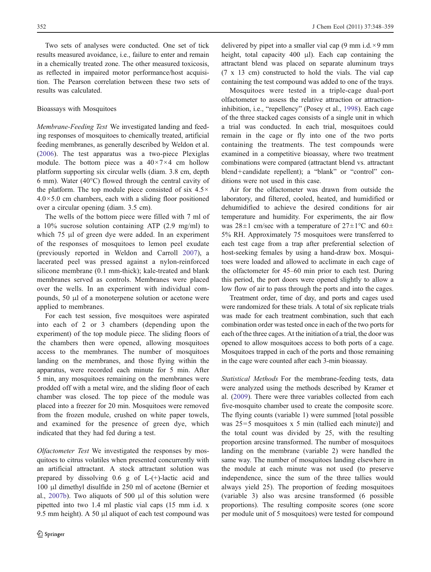Two sets of analyses were conducted. One set of tick results measured avoidance, i.e., failure to enter and remain in a chemically treated zone. The other measured toxicosis, as reflected in impaired motor performance/host acquisition. The Pearson correlation between these two sets of results was calculated.

#### Bioassays with Mosquitoes

Membrane-Feeding Test We investigated landing and feeding responses of mosquitoes to chemically treated, artificial feeding membranes, as generally described by Weldon et al. [\(2006\)](#page-13-0). The test apparatus was a two-piece Plexiglas module. The bottom piece was a  $40\times7\times4$  cm hollow platform supporting six circular wells (diam. 3.8 cm, depth 6 mm). Water (40°C) flowed through the central cavity of the platform. The top module piece consisted of six  $4.5\times$  $4.0 \times 5.0$  cm chambers, each with a sliding floor positioned over a circular opening (diam. 3.5 cm).

The wells of the bottom piece were filled with 7 ml of a 10% sucrose solution containing ATP (2.9 mg/ml) to which 75 μl of green dye were added. In an experiment of the responses of mosquitoes to lemon peel exudate (previously reported in Weldon and Carroll [2007\)](#page-13-0), a lacerated peel was pressed against a nylon-reinforced silicone membrane (0.1 mm-thick); kale-treated and blank membranes served as controls. Membranes were placed over the wells. In an experiment with individual compounds, 50 μl of a monoterpene solution or acetone were applied to membranes.

For each test session, five mosquitoes were aspirated into each of 2 or 3 chambers (depending upon the experiment) of the top module piece. The sliding floors of the chambers then were opened, allowing mosquitoes access to the membranes. The number of mosquitoes landing on the membranes, and those flying within the apparatus, were recorded each minute for 5 min. After 5 min, any mosquitoes remaining on the membranes were prodded off with a metal wire, and the sliding floor of each chamber was closed. The top piece of the module was placed into a freezer for 20 min. Mosquitoes were removed from the frozen module, crushed on white paper towels, and examined for the presence of green dye, which indicated that they had fed during a test.

Olfactometer Test We investigated the responses by mosquitoes to citrus volatiles when presented concurrently with an artificial attractant. A stock attractant solution was prepared by dissolving 0.6 g of L-(+)-lactic acid and 100 μl dimethyl disulfide in 250 ml of acetone (Bernier et al., [2007b](#page-11-0)). Two aliquots of 500  $\mu$ l of this solution were pipetted into two 1.4 ml plastic vial caps (15 mm i.d. x 9.5 mm height). A 50 μl aliquot of each test compound was

delivered by pipet into a smaller vial cap  $(9 \text{ mm } i.d. \times 9 \text{ mm})$ height, total capacity 400 μl). Each cap containing the attractant blend was placed on separate aluminum trays (7 x 13 cm) constructed to hold the vials. The vial cap containing the test compound was added to one of the trays.

Mosquitoes were tested in a triple-cage dual-port olfactometer to assess the relative attraction or attractioninhibition, i.e., "repellency" (Posey et al., [1998\)](#page-12-0). Each cage of the three stacked cages consists of a single unit in which a trial was conducted. In each trial, mosquitoes could remain in the cage or fly into one of the two ports containing the treatments. The test compounds were examined in a competitive bioassay, where two treatment combinations were compared (attractant blend vs. attractant blend+candidate repellent); a "blank" or "control" conditions were not used in this case.

Air for the olfactometer was drawn from outside the laboratory, and filtered, cooled, heated, and humidified or dehumidified to achieve the desired conditions for air temperature and humidity. For experiments, the air flow was  $28\pm1$  cm/sec with a temperature of  $27\pm1\degree C$  and  $60\pm$ 5% RH. Approximately 75 mosquitoes were transferred to each test cage from a trap after preferential selection of host-seeking females by using a hand-draw box. Mosquitoes were loaded and allowed to acclimate in each cage of the olfactometer for 45–60 min prior to each test. During this period, the port doors were opened slightly to allow a low flow of air to pass through the ports and into the cages.

Treatment order, time of day, and ports and cages used were randomized for these trials. A total of six replicate trials was made for each treatment combination, such that each combination order was tested once in each of the two ports for each of the three cages. At the initiation of a trial, the door was opened to allow mosquitoes access to both ports of a cage. Mosquitoes trapped in each of the ports and those remaining in the cage were counted after each 3-min bioassay.

Statistical Methods For the membrane-feeding tests, data were analyzed using the methods described by Kramer et al. ([2009\)](#page-12-0). There were three variables collected from each five-mosquito chamber used to create the composite score. The flying counts (variable 1) were summed [total possible was 25=5 mosquitoes x 5 min (tallied each minute)] and the total count was divided by 25, with the resulting proportion arcsine transformed. The number of mosquitoes landing on the membrane (variable 2) were handled the same way. The number of mosquitoes landing elsewhere in the module at each minute was not used (to preserve independence, since the sum of the three tallies would always yield 25). The proportion of feeding mosquitoes (variable 3) also was arcsine transformed (6 possible proportions). The resulting composite scores (one score per module unit of 5 mosquitoes) were tested for compound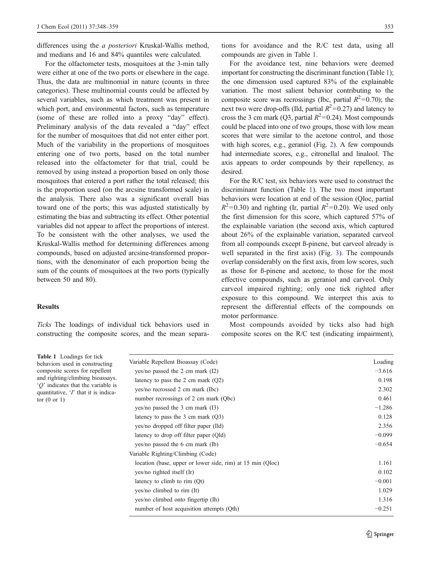differences using the *a posteriori* Kruskal-Wallis method, and medians and 16 and 84% quantiles were calculated.

For the olfactometer tests, mosquitoes at the 3-min tally were either at one of the two ports or elsewhere in the cage. Thus, the data are multinomial in nature (counts in three categories). These multinomial counts could be affected by several variables, such as which treatment was present in which port, and environmental factors, such as temperature (some of these are rolled into a proxy "day" effect). Preliminary analysis of the data revealed a "day" effect for the number of mosquitoes that did not enter either port. Much of the variability in the proportions of mosquitoes entering one of two ports, based on the total number released into the olfactometer for that trial, could be removed by using instead a proportion based on only those mosquitoes that entered a port rather the total released; this is the proportion used (on the arcsine transformed scale) in the analysis. There also was a significant overall bias toward one of the ports; this was adjusted statistically by estimating the bias and subtracting its effect. Other potential variables did not appear to affect the proportions of interest. To be consistent with the other analyses, we used the Kruskal-Wallis method for determining differences among compounds, based on adjusted arcsine-transformed proportions, with the denominator of each proportion being the sum of the counts of mosquitoes at the two ports (typically between 50 and 80).

#### **Results**

Ticks The loadings of individual tick behaviors used in constructing the composite scores, and the mean separa-

tions for avoidance and the R/C test data, using all compounds are given in Table 1.

For the avoidance test, nine behaviors were deemed important for constructing the discriminant function (Table 1); the one dimension used captured 83% of the explainable variation. The most salient behavior contributing to the composite score was recrossings (Ibc, partial  $R^2$ =0.70); the next two were drop-offs (Ild, partial  $R^2$ =0.27) and latency to cross the 3 cm mark (Q3, partial  $R^2$ =0.24). Most compounds could be placed into one of two groups, those with low mean scores that were similar to the acetone control, and those with high scores, e.g., geraniol (Fig. [2\)](#page-8-0). A few compounds had intermediate scores, e.g., citronellal and linalool. The axis appears to order compounds by their repellency, as desired.

For the R/C test, six behaviors were used to construct the discriminant function (Table 1). The two most important behaviors were location at end of the session (Qloc, partial  $R^2$ =0.30) and righting (Ir, partial  $R^2$ =0.20). We used only the first dimension for this score, which captured 57% of the explainable variation (the second axis, which captured about 26% of the explainable variation, separated carveol from all compounds except ß-pinene, but carveol already is well separated in the first axis) (Fig. [3\)](#page-8-0). The compounds overlap considerably on the first axis, from low scores, such as those for ß-pinene and acetone, to those for the most effective compounds, such as geraniol and carveol. Only carveol impaired righting; only one tick righted after exposure to this compound. We interpret this axis to represent the differential effects of the compounds on motor performance.

Most compounds avoided by ticks also had high composite scores on the R/C test (indicating impairment),

| <b>Table 1</b> Loadings for tick     |
|--------------------------------------|
| behaviors used in constructing       |
| composite scores for repellent       |
| and righting/climbing bioassays.     |
| $'Q'$ indicates that the variable is |
| quantitative, $T$ that it is indica- |
| tor $(0 \text{ or } 1)$              |

| Variable Repellent Bioassay (Code)                         | Loading  |
|------------------------------------------------------------|----------|
|                                                            |          |
| yes/no passed the 2 cm mark $(12)$                         | $-3.616$ |
| latency to pass the 2 cm mark $(Q2)$                       | 0.198    |
| yes/no recrossed 2 cm mark (Ibc)                           | 2.302    |
| number recrossings of 2 cm mark (Qbc)                      | 0.461    |
| yes/no passed the $3 \text{ cm}$ mark (I3)                 | $-1.286$ |
| latency to pass the 3 cm mark $(Q3)$                       | 0.128    |
| yes/no dropped off filter paper (Ild)                      | 2.356    |
| latency to drop off filter paper (Qld)                     | $-0.099$ |
| yes/no passed the 6 cm mark (Ib)                           | $-0.654$ |
| Variable Righting/Climbing (Code)                          |          |
| location (base, upper or lower side, rim) at 15 min (Qloc) | 1.161    |
| yes/no righted itself (Ir)                                 | 0.102    |
| latency to climb to rim $(Qt)$                             | $-0.001$ |
| yes/no climbed to rim (It)                                 | 1.029    |
| yes/no climbed onto fingertip (Ih)                         | 1.316    |
| number of host acquisition attempts (Qth)                  | $-0.251$ |
|                                                            |          |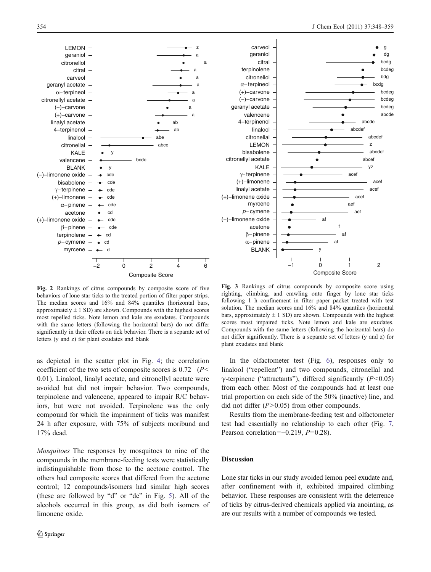

<span id="page-8-0"></span>

Fig. 2 Rankings of citrus compounds by composite score of five behaviors of lone star ticks to the treated portion of filter paper strips. The median scores and 16% and 84% quantiles (horizontal bars, approximately  $\pm$  1 SD) are shown. Compounds with the highest scores most repelled ticks. Note lemon and kale are exudates. Compounds with the same letters (following the horizontal bars) do not differ significantly in their effects on tick behavior. There is a separate set of letters (y and z) for plant exudates and blank

d cd cd cde cde cd cde cde cde ode cde  $\sqrt{2}$ 

 $\bullet$  $\bullet$ 

y

myrcene *p*− cymene terpinolene β− pinene

acetone α− pinene (+)−limonene γ− terpinene bisabolene (−)−limonene oxide

**BLANK** valencene KALE citronellal linalool 4−terpinenol linalyl acetate (+)−carvone (−)−carvone citronellyl acetate α− terpineol geranyl acetate carveol citral citronellol geraniol LEMON

(+)−limonene oxide

−2 0 2 4 6 Composite Score

bcde

abce abe

ab ab

a a a a a a a a a z

as depicted in the scatter plot in Fig. [4;](#page-9-0) the correlation coefficient of the two sets of composite scores is  $0.72$  ( $P<$ 0.01). Linalool, linalyl acetate, and citronellyl acetate were avoided but did not impair behavior. Two compounds, terpinolene and valencene, appeared to impair R/C behaviors, but were not avoided. Terpinolene was the only compound for which the impairment of ticks was manifest 24 h after exposure, with 75% of subjects moribund and 17% dead.

Mosquitoes The responses by mosquitoes to nine of the compounds in the membrane-feeding tests were statistically indistinguishable from those to the acetone control. The others had composite scores that differed from the acetone control; 12 compounds/isomers had similar high scores (these are followed by "d" or "de" in Fig. [5\)](#page-9-0). All of the alcohols occurred in this group, as did both isomers of limonene oxide.

Fig. 3 Rankings of citrus compounds by composite score using righting, climbing, and crawling onto finger by lone star ticks following 1 h confinement in filter paper packet treated with test solution. The median scores and 16% and 84% quantiles (horizontal bars, approximately  $\pm$  1 SD) are shown. Compounds with the highest scores most impaired ticks. Note lemon and kale are exudates. Compounds with the same letters (following the horizontal bars) do not differ significantly. There is a separate set of letters (y and z) for plant exudates and blank

In the olfactometer test (Fig. [6](#page-10-0)), responses only to linalool ("repellent") and two compounds, citronellal and γ-terpinene ("attractants"), differed significantly ( $P < 0.05$ ) from each other. Most of the compounds had at least one trial proportion on each side of the 50% (inactive) line, and did not differ  $(P>0.05)$  from other compounds.

Results from the membrane-feeding test and olfactometer test had essentially no relationship to each other (Fig. [7,](#page-10-0) Pearson correlation=−0.219,  $P=0.28$ ).

#### Discussion

Lone star ticks in our study avoided lemon peel exudate and, after confinement with it, exhibited impaired climbing behavior. These responses are consistent with the deterrence of ticks by citrus-derived chemicals applied via anointing, as are our results with a number of compounds we tested.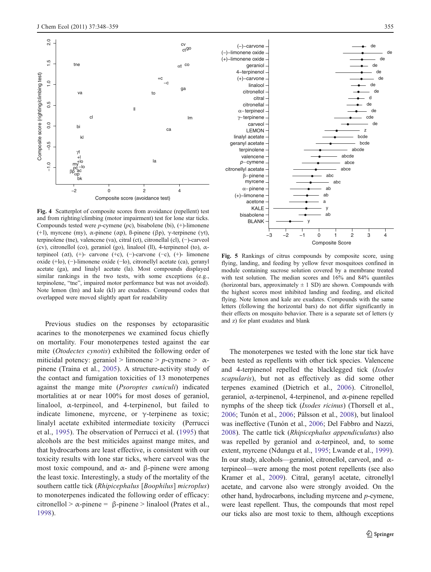<span id="page-9-0"></span>

Fig. 4 Scatterplot of composite scores from avoidance (repellent) test and from righting/climbing (motor impairment) test for lone star ticks. Compounds tested were *p*-cymene (*pc*), bisabolene (bi),  $(+)$ -limonene (+l), myrcene (my), α-pinene (αp), ß-pinene (βp), γ-terpinene (γt), terpinolene (tne), valencene (va), citral (ct), citronellal (cl), (−)-carveol (cv), citronellol (co), geraniol (go), linalool (ll), 4-terpinenol (to), αterpineol ( $\alpha$ t), (+)- carvone (+c), (−)-carvone (-c), (+)- limonene oxide (+lo), (−)-limonene oxide (−lo), citronellyl acetate (ca), geranyl acetate (ga), and linalyl acetate (la). Most compounds displayed similar rankings in the two tests, with some exceptions (e.g., terpinolene, "tne", impaired motor performance but was not avoided). Note lemon (lm) and kale (kl) are exudates. Compound codes that overlapped were moved slightly apart for readability

Previous studies on the responses by ectoparasitic acarines to the monoterpenes we examined focus chiefly on mortality. Four monoterpenes tested against the ear mite (Otodectes cynotis) exhibited the following order of miticidal potency: geraniol > limonene >  $p$ -cymene >  $\alpha$ pinene (Traina et al., [2005](#page-13-0)). A structure-activity study of the contact and fumigation toxicities of 13 monoterpenes against the mange mite (Psoroptes cuniculi) indicated mortalities at or near 100% for most doses of geraniol, linalool, α-terpineol, and 4-terpinenol, but failed to indicate limonene, myrcene, or  $\gamma$ -terpinene as toxic; linalyl acetate exhibited intermediate toxicity (Perrucci et al., [1995\)](#page-12-0). The observation of Perrucci et al. ([1995\)](#page-12-0) that alcohols are the best miticides against mange mites, and that hydrocarbons are least effective, is consistent with our toxicity results with lone star ticks, where carveol was the most toxic compound, and  $\alpha$ - and β-pinene were among the least toxic. Interestingly, a study of the mortality of the southern cattle tick (Rhipicephalus [Boophilus] microplus) to monoterpenes indicated the following order of efficacy: citronellol >  $\alpha$ -pinene =  $\beta$ -pinene > linalool (Prates et al., [1998](#page-12-0)).



Fig. 5 Rankings of citrus compounds by composite score, using flying, landing, and feeding by yellow fever mosquitoes confined in module containing sucrose solution covered by a membrane treated with test solution. The median scores and 16% and 84% quantiles (horizontal bars, approximately  $\pm$  1 SD) are shown. Compounds with the highest scores most inhibited landing and feeding, and elicited flying. Note lemon and kale are exudates. Compounds with the same letters (following the horizontal bars) do not differ significantly in their effects on mosquito behavior. There is a separate set of letters (y and z) for plant exudates and blank

The monoterpenes we tested with the lone star tick have been tested as repellents with other tick species. Valencene and 4-terpinenol repelled the blacklegged tick (Ixodes scapularis), but not as effectively as did some other terpenes examined (Dietrich et al., [2006](#page-12-0)). Citronellol, geraniol, α-terpinenol, 4-terpinenol, and α-pinene repelled nymphs of the sheep tick (Ixodes ricinus) (Thorsell et al., [2006](#page-13-0); Tunón et al., [2006;](#page-13-0) Pälsson et al., [2008\)](#page-12-0), but linalool was ineffective (Tunón et al., [2006;](#page-13-0) Del Fabbro and Nazzi, [2008](#page-12-0)). The cattle tick (Rhipicephalus appendiculatus) also was repelled by geraniol and  $\alpha$ -terpineol, and, to some extent, myrcene (Ndungu et al., [1995](#page-12-0); Lwande et al., [1999\)](#page-12-0). In our study, alcohols—geraniol, citronellol, carveol, and  $\alpha$ terpineol—were among the most potent repellents (see also Kramer et al., [2009](#page-12-0)). Citral, geranyl acetate, citronellyl acetate, and carvone also were strongly avoided. On the other hand, hydrocarbons, including myrcene and p-cymene, were least repellent. Thus, the compounds that most repel our ticks also are most toxic to them, although exceptions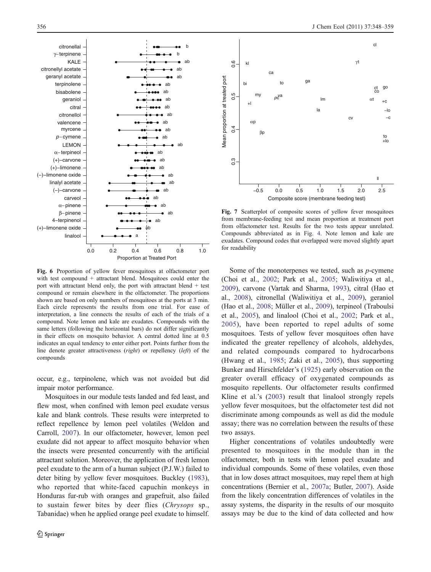<span id="page-10-0"></span>

Fig. 6 Proportion of yellow fever mosquitoes at olfactometer port with test compound + attractant blend. Mosquitoes could enter the port with attractant blend only, the port with attractant blend + test compound or remain elsewhere in the olfactometer. The proportions shown are based on only numbers of mosquitoes at the ports at 3 min. Each circle represents the results from one trial. For ease of interpretation, a line connects the results of each of the trials of a compound. Note lemon and kale are exudates. Compounds with the same letters (following the horizontal bars) do not differ significantly in their effects on mosquito behavior. A central dotted line at 0.5 indicates an equal tendency to enter either port. Points further from the line denote greater attractiveness (right) or repellency (left) of the compounds

occur, e.g., terpinolene, which was not avoided but did impair motor performance.

Mosquitoes in our module tests landed and fed least, and flew most, when confined with lemon peel exudate versus kale and blank controls. These results were interpreted to reflect repellence by lemon peel volatiles (Weldon and Carroll, [2007\)](#page-13-0). In our olfactometer, however, lemon peel exudate did not appear to affect mosquito behavior when the insects were presented concurrently with the artificial attractant solution. Moreover, the application of fresh lemon peel exudate to the arm of a human subject (P.J.W.) failed to deter biting by yellow fever mosquitoes. Buckley [\(1983](#page-11-0)), who reported that white-faced capuchin monkeys in Honduras fur-rub with oranges and grapefruit, also failed to sustain fewer bites by deer flies (Chrysops sp., Tabanidae) when he applied orange peel exudate to himself.



Fig. 7 Scatterplot of composite scores of yellow fever mosquitoes from membrane-feeding test and mean proportion at treatment port from olfactometer test. Results for the two tests appear unrelated. Compounds abbreviated as in Fig. [4.](#page-9-0) Note lemon and kale are exudates. Compound codes that overlapped were moved slightly apart

Some of the monoterpenes we tested, such as  $p$ -cymene (Choi et al., [2002](#page-12-0); Park et al., [2005;](#page-12-0) Waliwitiya et al., [2009](#page-13-0)), carvone (Vartak and Sharma, [1993](#page-13-0)), citral (Hao et al., [2008](#page-12-0)), citronellal (Waliwitiya et al., [2009\)](#page-13-0), geraniol (Hao et al., [2008;](#page-12-0) Müller et al., [2009](#page-12-0)), terpineol (Traboulsi et al., [2005\)](#page-13-0), and linalool (Choi et al., [2002](#page-12-0); Park et al., [2005](#page-12-0)), have been reported to repel adults of some mosquitoes. Tests of yellow fever mosquitoes often have indicated the greater repellency of alcohols, aldehydes, and related compounds compared to hydrocarbons (Hwang et al., [1985;](#page-12-0) Zaki et al., [2005](#page-13-0)), thus supporting Bunker and Hirschfelder's ([1925\)](#page-11-0) early observation on the greater overall efficacy of oxygenated compounds as mosquito repellents. Our olfactometer results confirmed Kline et al.'s [\(2003\)](#page-12-0) result that linalool strongly repels yellow fever mosquitoes, but the olfactometer test did not discriminate among compounds as well as did the module assay; there was no correlation between the results of these two assays.

Higher concentrations of volatiles undoubtedly were presented to mosquitoes in the module than in the olfactometer, both in tests with lemon peel exudate and individual compounds. Some of these volatiles, even those that in low doses attract mosquitoes, may repel them at high concentrations (Bernier et al., [2007a;](#page-11-0) Butler, [2007\)](#page-11-0). Aside from the likely concentration differences of volatiles in the assay systems, the disparity in the results of our mosquito assays may be due to the kind of data collected and how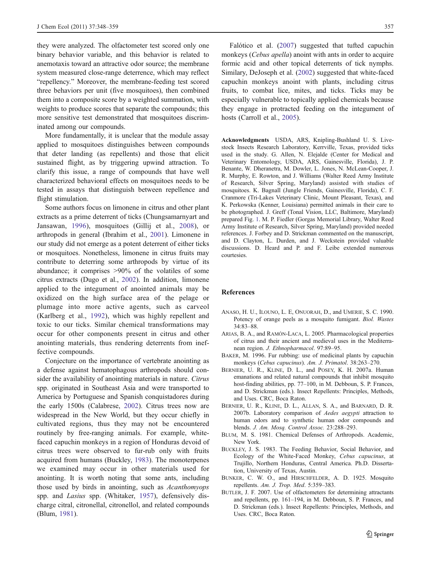<span id="page-11-0"></span>they were analyzed. The olfactometer test scored only one binary behavior variable, and this behavior is related to anemotaxis toward an attractive odor source; the membrane system measured close-range deterrence, which may reflect "repellency." Moreover, the membrane-feeding test scored three behaviors per unit (five mosquitoes), then combined them into a composite score by a weighted summation, with weights to produce scores that separate the compounds; this more sensitive test demonstrated that mosquitoes discriminated among our compounds.

More fundamentally, it is unclear that the module assay applied to mosquitoes distinguishes between compounds that deter landing (as repellents) and those that elicit sustained flight, as by triggering upwind attraction. To clarify this issue, a range of compounds that have well characterized behavioral effects on mosquitoes needs to be tested in assays that distinguish between repellence and flight stimulation.

Some authors focus on limonene in citrus and other plant extracts as a prime deterrent of ticks (Chungsamarnyart and Jansawan, [1996](#page-12-0)), mosquitoes (Gillij et al., [2008](#page-12-0)), or arthropods in general (Ibrahim et al., [2001\)](#page-12-0). Limonene in our study did not emerge as a potent deterrent of either ticks or mosquitoes. Nonetheless, limonene in citrus fruits may contribute to deterring some arthropods by virtue of its abundance; it comprises >90% of the volatiles of some citrus extracts (Dugo et al., [2002](#page-12-0)). In addition, limonene applied to the integument of anointed animals may be oxidized on the high surface area of the pelage or plumage into more active agents, such as carveol (Karlberg et al., [1992](#page-12-0)), which was highly repellent and toxic to our ticks. Similar chemical transformations may occur for other components present in citrus and other anointing materials, thus rendering deterrents from ineffective compounds.

Conjecture on the importance of vertebrate anointing as a defense against hematophagous arthropods should consider the availability of anointing materials in nature. Citrus spp. originated in Southeast Asia and were transported to America by Portuguese and Spanish conquistadores during the early 1500s (Calabrese, [2002](#page-12-0)). Citrus trees now are widespread in the New World, but they occur chiefly in cultivated regions, thus they may not be encountered routinely by free-ranging animals. For example, whitefaced capuchin monkeys in a region of Honduras devoid of citrus trees were observed to fur-rub only with fruits acquired from humans (Buckley, 1983). The monoterpenes we examined may occur in other materials used for anointing. It is worth noting that some ants, including those used by birds in anointing, such as Acanthomyops spp. and Lasius spp. (Whitaker, [1957](#page-13-0)), defensively discharge citral, citronellal, citronellol, and related compounds (Blum, 1981).

Falótico et al. [\(2007](#page-12-0)) suggested that tufted capuchin monkeys (Cebus apella) anoint with ants in order to acquire formic acid and other topical deterrents of tick nymphs. Similary, DeJoseph et al. ([2002\)](#page-12-0) suggested that white-faced capuchin monkeys anoint with plants, including citrus fruits, to combat lice, mites, and ticks. Ticks may be especially vulnerable to topically applied chemicals because they engage in protracted feeding on the integument of hosts (Carroll et al., [2005\)](#page-12-0).

Acknowledgments USDA, ARS, Knipling-Bushland U. S. Livestock Insects Research Laboratory, Kerrville, Texas, provided ticks used in the study. G. Allen, N. Elejalde (Center for Medical and Veterinary Entomology, USDA, ARS, Gainesville, Florida), J. P. Benante, W. Dheranetra, M. Dowler, L. Jones, N. McLean-Cooper, J. R. Murphy, E. Rowton, and J. Williams (Walter Reed Army Institute of Research, Silver Spring, Maryland) assisted with studies of mosquitoes. K. Bagnall (Jungle Friends, Gainesville, Florida), C. F. Cranmore (Tri-Lakes Veterinary Clinic, Mount Pleasant, Texas), and K. Perkowska (Kenner, Louisiana) permitted animals in their care to be photographed. J. Greff (Tonal Vision, LLC, Baltimore, Maryland) prepared Fig. [1.](#page-3-0) M. P. Fiedler (Gorgas Memorial Library, Walter Reed Army Institute of Research, Silver Spring, Maryland) provided needed references. J. Forbey and D. Strickman commented on the manuscript, and D. Clayton, L. Durden, and J. Weckstein provided valuable discussions. D. Heard and P. and F. Leibe extended numerous courtesies.

#### References

- ANASO, H. U., ILOUNO, L. E, ONUORAH, D., and UMERIE, S. C. 1990. Potency of orange peels as a mosquito fumigant. Biol. Wastes 34:83–88.
- ARIAS, B. A., and RAMÓN-LACA, L. 2005. Pharmacological properties of citrus and their ancient and medieval uses in the Mediterranean region. J. Ethnopharmacol. 97:89–95.
- BAKER, M. 1996. Fur rubbing: use of medicinal plants by capuchin monkeys (Cebus capucinus). Am. J. Primatol. 38:263–270.
- BERNIER, U. R., KLINE, D. L., and POSEY, K. H. 2007a. Human emanations and related natural compounds that inhibit mosquito host-finding abilities, pp. 77–100, in M. Debboun, S. P. Frances, and D. Strickman (eds.). Insect Repellents: Principles, Methods, and Uses. CRC, Boca Raton.
- BERNIER, U. R., KLINE, D. L., ALLAN, S. A., and BARNARD, D. R. 2007b. Laboratory comparison of Aedes aegypti attraction to human odors and to synthetic human odor compounds and blends. J. Am. Mosq. Control Assoc. 23:288–293.
- BLUM, M. S. 1981. Chemical Defenses of Arthropods. Academic, New York.
- BUCKLEY, J. S. 1983. The Feeding Behavior, Social Behavior, and Ecology of the White-Faced Monkey, Cebus capucinus, at Trujillo, Northern Honduras, Central America. Ph.D. Dissertation, University of Texas, Austin.
- BUNKER, C. W. O., and HIRSCHFELDER, A. D. 1925. Mosquito repellents. Am. J. Trop. Med. 5:359–383.
- BUTLER, J. F. 2007. Use of olfactometers for determining attractants and repellents, pp. 161–194, in M. Debboun, S. P. Frances, and D. Strickman (eds.). Insect Repellents: Principles, Methods, and Uses. CRC, Boca Raton.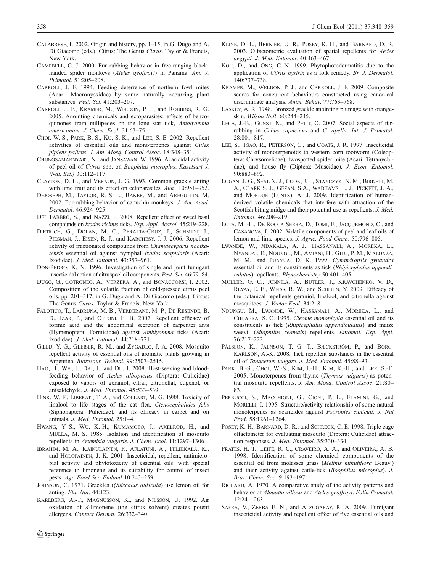- <span id="page-12-0"></span>CALABRESE, F. 2002. Origin and history, pp. 1–15, in G. Dugo and A. Di Giacomo (eds.). Citrus: The Genus Citrus. Taylor & Francis, New York.
- CAMPBELL, C. J. 2000. Fur rubbing behavior in free-ranging blackhanded spider monkeys (Ateles geoffroyi) in Panama. Am. J. Primatol. 51:205–208.
- CARROLL, J. F. 1994. Feeding deterrence of northern fowl mites (Acari: Macronyssidae) by some naturally occurring plant substances. Pest. Sci. 41:203–207.
- CARROLL, J. F., KRAMER, M., WELDON, P. J., and ROBBINS, R. G. 2005. Anointing chemicals and ectoparasites: effects of benzoquinones from millipedes on the lone star tick, Amblyomma americanum. J. Chem. Ecol. 31:63–75.
- CHOI, W.-S., PARK, B.-S., KU, S.-K., and LEE, S.-E. 2002. Repellent activities of essential oils and monoterpenes against Culex pipiens pallens. J. Am. Mosq. Control Assoc. 18:348–351.
- CHUNGSAMARNYART, N., and JANSAWAN, W. 1996. Acaricidal activity of peel oil of Citrus spp. on Boophilus microplus. Kasetsart J. (Nat. Sci.) 30:112–117.
- CLAYTON, D. H., and VERNON, J. G. 1993. Common grackle anting with lime fruit and its effect on ectoparasites. Auk 110:951–952.
- DEJOSEPH, M., TAYLOR, R. S. L., BAKER, M., and AREGULLIN, M. 2002. Fur-rubbing behavior of capuchin monkeys. J. Am. Acad. Dermatol. 46:924–925.
- DEL FABBRO, S., and NAZZI, F. 2008. Repellent effect of sweet basil compounds on Ixodes ricinus ticks. Exp. Appl. Acarol. 45:219–228.
- DIETRICH, G., DOLAN, M. C., PERALTA-CRUZ, J., SCHMIDT, J., PIESMAN, J., EISEN, R. J., and KARCHESY, J. J. 2006. Repellent activity of fractionated compounds from Chamaecyparis nootkatensis essential oil against nymphal Ixodes scapularis (Acari: Ixodidae). J. Med. Entomol. 43:957–961.
- DON-PEDRO, K. N. 1996. Investigation of single and joint fumigant insecticidal action of citruspeel oil components. Pest. Sci. 46:79–84.
- DUGO, G., COTRONEO, A., VERZERA, A., and BONACCORSI, I. 2002. Composition of the volatile fraction of cold-pressed citrus peel oils, pp. 201–317, in G. Dugo and A. Di Giacomo (eds.). Citrus: The Genus Citrus. Taylor & Francis, New York.
- FALÓTICO, T., LABRUNA, M. B., VERDERANE, M. P., DE RESENDE, B. D., IZAR, P., and OTTONI, E. B. 2007. Repellent efficacy of formic acid and the abdominal secretion of carpenter ants (Hymenoptera: Formicidae) against Amblyomma ticks (Acari: Ixodidae). J. Med. Entomol. 44:718–721.
- GILLIJ, Y. G., GLEISER, R. M., and ZYGADLO, J. A. 2008. Mosquito repellent activity of essential oils of aromatic plants growing in Argentina. Bioresour. Technol. 99:2507–2515.
- HAO, H., WEI, J., DAI, J., and DU, J. 2008. Host-seeking and bloodfeeding behavior of Aedes albopictus (Diptera: Culicidae) exposed to vapors of geraniol, citral, citronellal, eugenol, or anisaldehyde. J. Med. Entomol. 45:533–539.
- HINK, W. F., LIBERATI, T. A., and COLLART, M. G. 1988. Toxicity of linalool to life stages of the cat flea, Ctenocephalides felis (Siphonaptera: Pulicidae), and its efficacy in carpet and on animals. J. Med. Entomol. 25:1–4.
- HWANG, Y.-S., WU, K.-H., KUMAMOTO, J., AXELROD, H., and MULLA, M. S. 1985. Isolation and identification of mosquito repellents in Artemisia vulgaris. J. Chem. Ecol. 11:1297–1306.
- IBRAHIM, M. A., KAINULAINEN, P., AFLATUNI, A., TIILIKKALA, K., and HOLOPAINEN, J. K. 2001. Insecticidal, repellent, antimicrobial activity and phytotoxicity of essential oils: with special reference to limonene and its suitability for control of insect pests. Agr. Food Sci. Finland 10:243–259.
- JOHNSON, C. 1971. Grackles (Quiscalus quiscula) use lemon oil for anting. Fla. Nat. 44:123.
- KARLBERG, A.-T., MAGNUSSON, K., and NILSSON, U. 1992. Air oxidation of d-limonene (the citrus solvent) creates potent allergens. Contact Dermat. 26:332–340.
- KLINE, D. L., BERNIER, U. R., POSEY, K. H., and BARNARD, D. R. 2003. Olfactometric evaluation of spatial repellents for Aedes aegypti. J. Med. Entomol. 40:463–467.
- KOH, D., and ONG, C.-N. 1999. Phytophotodermatitis due to the application of Citrus hystrix as a folk remedy. Br. J. Dermatol. 140:737–738.
- KRAMER, M., WELDON, P. J., and CARROLL, J. F. 2009. Composite scores for concurrent behaviours constructed using canonical discriminate analysis. Anim. Behav. 77:763–768.
- LASKEY, A. R. 1948. Bronzed grackle anointing plumage with orangeskin. Wilson Bull. 60:244–245.
- LECA, J.-B., GUNST, N., and PETIT, O. 2007. Social aspects of furrubbing in Cebus capucinus and C. apella. Int. J. Primatol. 28:801–817.
- LEE, S., TSAO, R., PETERSON, C., and COATS, J. R. 1997. Insecticidal activity of monoterpenoids to western corn rootworm (Coleoptera: Chrysomelidae), twospotted spider mite (Acari: Tetranychidae), and house fly (Diptera: Muscidae). J. Econ. Entomol. 90:883–892.
- LOGAN, J. G., SEAL N. J., COOK, J. I., STANCZYK, N. M., BIRKETT, M. A., CLARK S. J., GEZAN, S.A., WADHAMS, L. J., PICKETT, J. A., and MORDUE (LUNTZ), A. J. 2009. Identification of humanderived volatile chemicals that interfere with attraction of the Scottish biting midge and their potential use as repellents. J. Med. Entomol. 46:208–219
- LOTA, M. -L., DE ROCCA SERRA, D., TOMI, F., JACQUEMOND, C., and CASANOVA, J. 2002. Volatile components of peel and leaf oils of lemon and lime species. J. Agric. Food Chem. 50:796–805.
- LWANDE, W., NDAKALA, A. J., HASSANALI, A., MOREKA, L., NYANDAT, E., NDUNGU, M., AMIANI, H., GITU, P. M., MALONZA, M. M., and PUNYUA, D. K. 1999. Gynandropsis gynandra essential oil and its constituents as tick (Rhipicephalus appendiculatus) repellents. Phytochemistry 50:401–405.
- MÜLLER, G. C., JUNNILA, A., BUTLER, J., KRAVCHENKO, V. D., REVAY, E. E., WEISS, R. W., and SCHLEIN, Y. 2009. Efficacy of the botanical repellents geraniol, linalool, and citronella against mosquitoes. J. Vector Ecol. 34:2–8.
- NDUNGU, M., LWANDE, W., HASSANALI, A., MOREKA, L., and CHHABRA, S. C. 1995. Cleome monophylla essential oil and its constituents as tick (Rhipicephalus appendiculatus) and maize weevil (Sitophilus zeamais) repellents. Entomol. Exp. Appl. 76:217–222.
- PÄLSSON, K., JAENSON, T. G. T., BÆCKSTRÖM, P., and BORG-KARLSON, A.-K. 2008. Tick repellent substances in the essential oil of Tanacetum vulgare. J. Med. Entomol. 45:88–93.
- PARK, B.-S., CHOI, W.-S., KIM, J.-H., KIM, K.-H., and LEE, S.-E. 2005. Monoterpenes from thyme (Thymus vulgaris) as potential mosquito repellents. J. Am. Mosq. Control Assoc. 21:80– 83.
- PERRUCCI, S., MACCHIONI, G., CIONI, P. L., FLAMINI, G., and MORELLI, I. 1995. Structure/activity relationship of some natural monoterpenes as acaricides against Psoroptes cuniculi. J. Nat Prod. 58:1261–1264.
- POSEY, K. H., BARNARD, D. R., and SCHRECK, C. E. 1998. Triple cage olfactometer for evaluating mosquito (Diptera: Culicidae) attraction responses. J. Med. Entomol. 35:330–334.
- PRATES, H. T., LEITE, R. C., CRAVEIRO, A. A., and OLIVEIRA, A. B. 1998. Identification of some chemical components of the essential oil from molasses grass (Melinis minutiflora Beauv.) and their activity against cattle-tick (Boophilus microplus). J. Braz. Chem. Soc. 9:193–197.
- RICHARD, A. 1970. A comparative study of the activity patterns and behavior of Alouatta villosa and Ateles geoffroyi. Folia Primatol. 12:241–263.
- SAFRA, V., ZERBA E. N., and ALZOGARAY, R. A. 2009. Fumigant insecticidal activity and repellent effect of five essential oils and